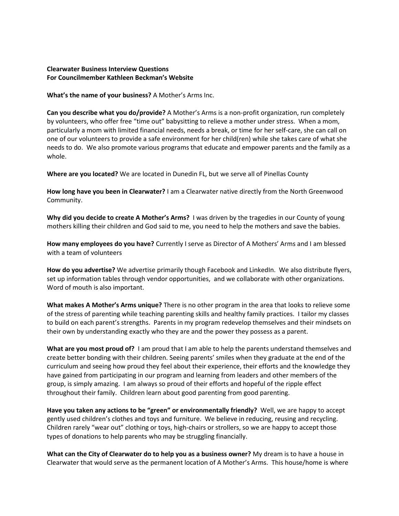## **Clearwater Business Interview Questions For Councilmember Kathleen Beckman's Website**

**What's the name of your business?** A Mother's Arms Inc.

**Can you describe what you do/provide?** A Mother's Arms is a non-profit organization, run completely by volunteers, who offer free "time out" babysitting to relieve a mother under stress. When a mom, particularly a mom with limited financial needs, needs a break, or time for her self-care, she can call on one of our volunteers to provide a safe environment for her child(ren) while she takes care of what she needs to do. We also promote various programs that educate and empower parents and the family as a whole.

**Where are you located?** We are located in Dunedin FL, but we serve all of Pinellas County

**How long have you been in Clearwater?** I am a Clearwater native directly from the North Greenwood Community.

**Why did you decide to create A Mother's Arms?** I was driven by the tragedies in our County of young mothers killing their children and God said to me, you need to help the mothers and save the babies.

**How many employees do you have?** Currently I serve as Director of A Mothers' Arms and I am blessed with a team of volunteers

How do you advertise? We advertise primarily though Facebook and LinkedIn. We also distribute flyers, set up information tables through vendor opportunities, and we collaborate with other organizations. Word of mouth is also important.

**What makes A Mother's Arms unique?** There is no other program in the area that looks to relieve some of the stress of parenting while teaching parenting skills and healthy family practices. I tailor my classes to build on each parent's strengths. Parents in my program redevelop themselves and their mindsets on their own by understanding exactly who they are and the power they possess as a parent.

**What are you most proud of?** I am proud that I am able to help the parents understand themselves and create better bonding with their children. Seeing parents' smiles when they graduate at the end of the curriculum and seeing how proud they feel about their experience, their efforts and the knowledge they have gained from participating in our program and learning from leaders and other members of the group, is simply amazing. I am always so proud of their efforts and hopeful of the ripple effect throughout their family. Children learn about good parenting from good parenting.

**Have you taken any actions to be "green" or environmentally friendly?** Well, we are happy to accept gently used children's clothes and toys and furniture. We believe in reducing, reusing and recycling. Children rarely "wear out" clothing or toys, high-chairs or strollers, so we are happy to accept those types of donations to help parents who may be struggling financially.

**What can the City of Clearwater do to help you as a business owner?** My dream is to have a house in Clearwater that would serve as the permanent location of A Mother's Arms. This house/home is where